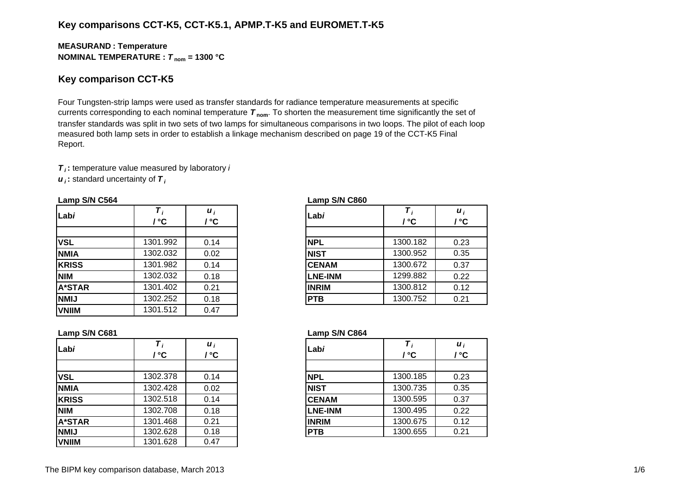# **Key comparisons CCT-K5, CCT-K5.1, APMP.T-K5 and EUROMET.T-K5**

## **MEASURAN D : Temperature NOMINAL TEMPERATURE :**  *T* **nom = 1300 °C**

## **Key comparison CCT-K5**

Four Tungsten-strip lamps were used as transfer standards for radiance temperature measurements at specific currents corresponding to each nominal temperature *T* **nom**. To shorten the measurement time significantly the set of transfer standards was split in two sets of two lamps for simultaneous comparisons in two loops. The pilot of each loop measured both lamp sets in order to establish a linkage mechanism described on page 19 of the CCT-K5 Final Report.

*T i* **:** temperature value measured by laboratory *i*

*u i* **:** standard uncertainty of *T i*

#### **Lamp S/N C564 Lamp S/N C860**

| Labi          | $\mathbf{C}$ | $\boldsymbol{u}_i$<br>' °C | Labi           | / °C     | $\boldsymbol{u}_i$<br>/ °C |
|---------------|--------------|----------------------------|----------------|----------|----------------------------|
|               |              |                            |                |          |                            |
| <b>VSL</b>    | 1301.992     | 0.14                       | <b>NPL</b>     | 1300.182 | 0.23                       |
| <b>NMIA</b>   | 1302.032     | 0.02                       | <b>NIST</b>    | 1300.952 | 0.35                       |
| <b>KRISS</b>  | 1301.982     | 0.14                       | <b>CENAM</b>   | 1300.672 | 0.37                       |
| <b>NIM</b>    | 1302.032     | 0.18                       | <b>LNE-INM</b> | 1299.882 | 0.22                       |
| <b>A*STAR</b> | 1301.402     | 0.21                       | <b>INRIM</b>   | 1300.812 | 0.12                       |
| <b>NMIJ</b>   | 1302.252     | 0.18                       | <b>PTB</b>     | 1300.752 | 0.21                       |
| <b>VNIIM</b>  | 1301.512     | 0.47                       |                |          |                            |
|               |              |                            |                |          |                            |

|  | Т<br>/ °C                                                                                         | $\boldsymbol{u}_i$<br>$\mathsf{I} \,^{\circ} \mathsf{C}$ |
|--|---------------------------------------------------------------------------------------------------|----------------------------------------------------------|
|  |                                                                                                   |                                                          |
|  |                                                                                                   | 0.23                                                     |
|  | 1300.952                                                                                          | 0.35                                                     |
|  | 1300.672                                                                                          | 0.37                                                     |
|  | 1299.882                                                                                          | 0.22                                                     |
|  | 1300.812                                                                                          | 0.12                                                     |
|  | 1300.752                                                                                          | 0.21                                                     |
|  | Labi<br><b>NPL</b><br><b>NIST</b><br><b>CENAM</b><br><b>LNE-INM</b><br><b>INRIM</b><br><b>PTB</b> | 1300.182                                                 |

## **Lamp S/N C681 Lamp S/N C864**

| Labi          | / °C     | $\boldsymbol{u}_i$<br>' °C | Labi           | / °C     | $\boldsymbol{u}_i$<br>/ °C |
|---------------|----------|----------------------------|----------------|----------|----------------------------|
|               |          |                            |                |          |                            |
| <b>VSL</b>    | 1302.378 | 0.14                       | <b>NPL</b>     | 1300.185 | 0.23                       |
| <b>NMIA</b>   | 1302.428 | 0.02                       | <b>NIST</b>    | 1300.735 | 0.35                       |
| <b>KRISS</b>  | 1302.518 | 0.14                       | <b>CENAM</b>   | 1300.595 | 0.37                       |
| <b>NIM</b>    | 1302.708 | 0.18                       | <b>LNE-INM</b> | 1300.495 | 0.22                       |
| <b>A*STAR</b> | 1301.468 | 0.21                       | <b>INRIM</b>   | 1300.675 | 0.12                       |
| <b>NMIJ</b>   | 1302.628 | 0.18                       | <b>PTB</b>     | 1300.655 | 0.21                       |
| <b>VNIIM</b>  | 1301.628 | 0.47                       |                |          |                            |

|            | / ℃      | $\boldsymbol{u}_i$<br>'°C | Labi           | / °C     | $\boldsymbol{u}$<br>/ °C |
|------------|----------|---------------------------|----------------|----------|--------------------------|
|            |          |                           |                |          |                          |
|            | 1302.378 | 0.14                      | <b>NPL</b>     | 1300.185 | 0.23                     |
| A          | 1302.428 | 0.02                      | <b>NIST</b>    | 1300.735 | 0.35                     |
| SS         | 1302.518 | 0.14                      | <b>CENAM</b>   | 1300.595 | 0.37                     |
|            | 1302.708 | 0.18                      | <b>LNE-INM</b> | 1300.495 | 0.22                     |
| <b>TAR</b> | 1301.468 | 0.21                      | <b>INRIM</b>   | 1300.675 | 0.12                     |
|            | 1302.628 | 0.18                      | <b>PTB</b>     | 1300.655 | 0.21                     |
|            |          |                           |                |          |                          |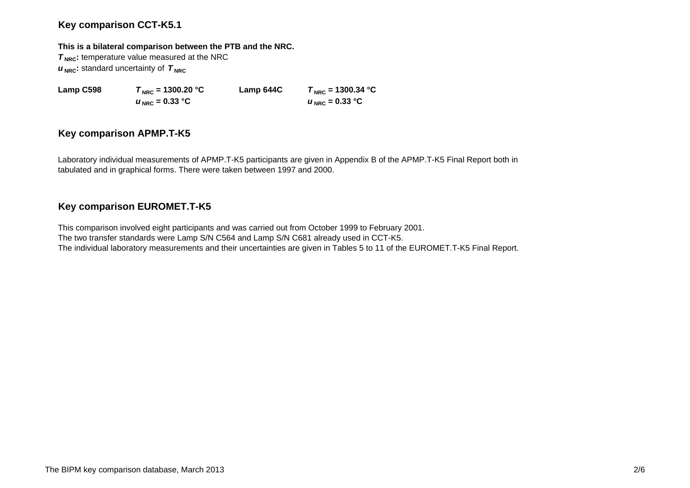# **Key comparison CCT-K5.1**

## **This is a bilateral comparison between the PTB and the NRC.**

**T<sub>NRC</sub>**: temperature value measured at the NRC  $u_{\text{NRC}}$ : standard uncertainty of  $T_{\text{NRC}}$ 

 $u_{\text{NRC}} = 0.33 \text{ °C}$ 

**Lamp C598**  $T_{\text{NRC}} = 1300.20 \text{ °C}$  **Lamp 644C**  $T_{\text{NRC}} = 1300.34 \text{ °C}$  $U_{\text{NRC}} = 0.33 \text{ °C}$ 

# **Key comparison APMP.T-K5**

Laboratory individual measurements of APMP.T-K5 participants are given in Appendix B of the APMP.T-K5 Final Report both in tabulated and in graphical forms. There were taken between 1997 and 2000.

# **Key comparison EUROMET.T-K5**

This comparison involved eight participants and was carried out from October 1999 to February 2001. The two transfer standards were Lamp S/N C564 and Lamp S/N C681 already used in CCT-K5. The individual laboratory measurements and their uncertainties are given in Tables 5 to 11 of the EUROMET.T-K5 Final Report.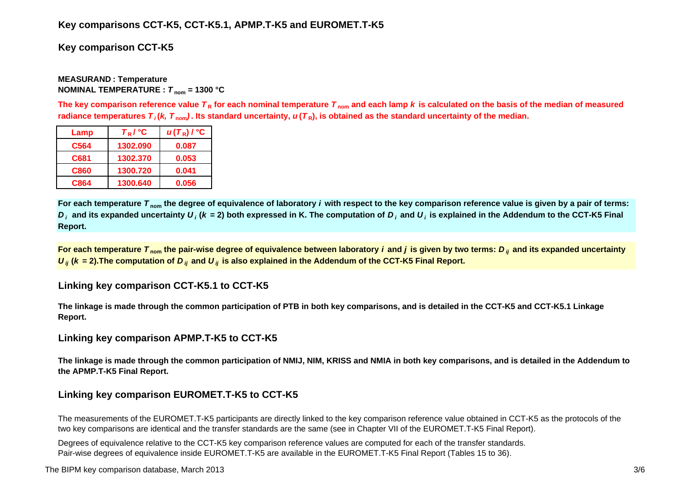# **Key comparisons CCT-K5, CCT-K5.1, APMP.T-K5 and EUROMET.T-K5**

# **Key comparison CCT-K5**

## **MEASURAND : Temperature NOMINAL TEMPERATURE :**  *T* **nom = 1300 °C**

The key comparison reference value  $\bm{\tau}_{\mathsf{R}}$  for each nominal temperature  $\bm{\tau}_{\mathsf{nom}}$  and each lamp  $\bm{k}$  is calculated on the basis of the median of measured radiance temperatures  $\bm{\tau}_i$ (*k, T*  $_{\rm nom}$ ). Its standard uncertainty,  $\bm{u}(\bm{\tau}_{{\sf R}})$ , is obtained as the standard uncertainty of the median.

| Lamp | $T_R$ / $^{\circ}$ C | $u(T_R)$ / $^{\circ}$ C |
|------|----------------------|-------------------------|
| C564 | 1302.090             | 0.087                   |
| C681 | 1302.370             | 0.053                   |
| C860 | 1300.720             | 0.041                   |
| C864 | 1300.640             | 0.056                   |

**For each temperature**  *T* **nom the degree of equivalence of laboratory** *i* **with respect to the key comparison reference value is given by a pair of terms:**   $D_i$  and its expanded uncertainty  $U_i$  (k = 2) both expressed in K. The computation of  $D_i$  and  $U_i$  is explained in the Addendum to the CCT-K5 Final **Report.**

**For each temperature**  *T* **nom the pair-wise degree of equivalence between laboratory** *i* **and** *j* **is given by two terms:***<sup>D</sup> ij* **and its expanded uncertainty**   $U_{ij}$  ( $k$  = 2).The computation of  $D_{ij}$  and  $U_{ij}$  is also explained in the Addendum of the CCT-K5 Final Report.

# **Linking key comparison CCT-K5.1 to CCT-K5**

**The linkage is made through the common participation of PTB in both key comparisons, and is detailed in the CCT-K5 and CCT-K5.1 Linkage Report.**

## **Linking key comparison APMP.T-K5 to CCT-K5**

**The linkage is made through the common participation of NMIJ, NIM, KRISS and NMIA in both key comparisons, and is detailed in the Addendum to the APMP.T-K5 Final Report.**

# **Linking key comparison EUROMET.T-K5 to CCT-K5**

The measurements of the EUROMET.T-K5 participants are directly linked to the key comparison reference value obtained in CCT-K5 as the protocols of the two key comparisons are identical and the transfer standards are the same (see in Chapter VII of the EUROMET.T-K5 Final Report).

Degrees of equivalence relative to the CCT-K5 key comparison reference values are computed for each of the transfer standards. Pair-wise degrees of equivalence inside EUROMET.T-K5 are available in the EUROMET.T-K5 Final Report (Tables 15 to 36).

The BIPM key comparison database, March 2013 3/6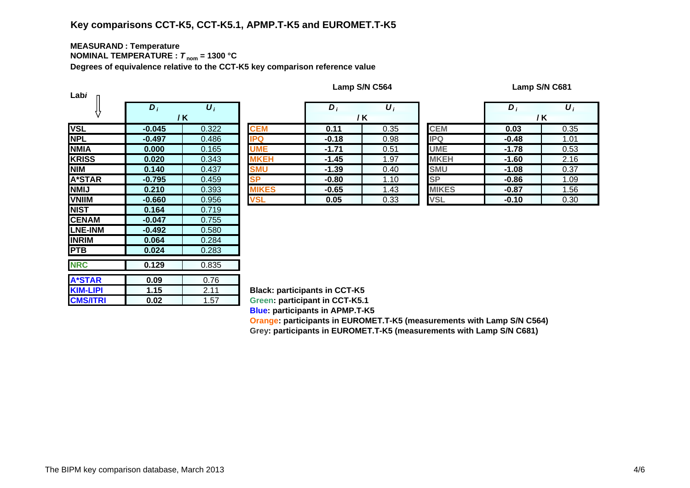## **MEASURAN D : Temperature NOMINAL TEMPERATURE :**  *T* **nom = 1300 °C**

**Degrees of equivalence relative to the CCT-K5 key comparison reference value**

| Labi            |                  |                    |               |
|-----------------|------------------|--------------------|---------------|
|                 | $\overline{D_i}$ | $\boldsymbol{U}_i$ |               |
|                 |                  | / K                |               |
| <b>VSL</b>      | $-0.045$         | 0.322              | <b>CEM</b>    |
| <b>NPL</b>      | $-0.497$         | 0.486              | <b>IPQ</b>    |
| <b>NMIA</b>     | 0.000            | 0.165              | <b>UME</b>    |
| <b>KRISS</b>    | 0.020            | 0.343              | <b>MKEH</b>   |
| <b>NIM</b>      | 0.140            | 0.437              | <b>SMU</b>    |
| <b>A*STAR</b>   | $-0.795$         | 0.459              | <b>SP</b>     |
| <b>NMIJ</b>     | 0.210            | 0.393              | <b>IIKES</b>  |
| <b>VNIIM</b>    | $-0.660$         | 0.956              | <b>VSL</b>    |
| <b>NIST</b>     | 0.164            | 0.719              |               |
| <b>CENAM</b>    | $-0.047$         | 0.755              |               |
| <b>LNE-INM</b>  | $-0.492$         | 0.580              |               |
| <b>INRIM</b>    | 0.064            | 0.284              |               |
| <b>PTB</b>      | 0.024            | 0.283              |               |
| <b>NRC</b>      | 0.129            | 0.835              |               |
|                 |                  |                    |               |
| <b>A*STAR</b>   | 0.09             | 0.76               |               |
| <b>KIM-LIPI</b> | 1.15             | 2.11               | <b>Black:</b> |
| <b>CMS/ITRI</b> | 0.02             | 1.57               | Green:        |

**Lamp S/N C564 Lamp S/N C681**

|                                          | $\bm{D}_i$ | $\boldsymbol{U}_i$   |              | $\bm{D}_i$ | $\boldsymbol{U}_i$ |              | D       | $\boldsymbol{U}_i$ |
|------------------------------------------|------------|----------------------|--------------|------------|--------------------|--------------|---------|--------------------|
|                                          | / K        |                      |              | / K        |                    |              | /K      |                    |
|                                          | $-0.045$   | 0.322                | <b>CEM</b>   | 0.11       | 0.35               | <b>CEM</b>   | 0.03    | 0.35               |
|                                          | $-0.497$   | 0.486                | <b>IPQ</b>   | $-0.18$    | 0.98               | <b>IPQ</b>   | $-0.48$ | 1.01               |
| А                                        | 0.000      | 0.165                | <b>UME</b>   | $-1.71$    | 0.51               | <b>UME</b>   | $-1.78$ | 0.53               |
| $\overline{\text{s}}\overline{\text{s}}$ | 0.020      | 0.343                | <b>MKEH</b>  | $-1.45$    | 1.97               | <b>MKEH</b>  | $-1.60$ | 2.16               |
|                                          | 0.140      | 0.437                | <b>SMU</b>   | $-1.39$    | 0.40               | <b>SMU</b>   | $-1.08$ | 0.37               |
| TAR                                      | $-0.795$   | 0.459                | <b>SP</b>    | $-0.80$    | 1.10               | <b>SP</b>    | $-0.86$ | 1.09               |
|                                          | 0.210      | 0.393                | <b>MIKES</b> | $-0.65$    | 1.43               | <b>MIKES</b> | $-0.87$ | 1.56               |
| M                                        | $-0.660$   | 0.956                | <b>VSL</b>   | 0.05       | 0.33               | <b>VSL</b>   | $-0.10$ | 0.30               |
|                                          | ----       | $\sim$ $\sim$ $\sim$ |              |            |                    |              |         |                    |

|   | $D_i$   | $\boldsymbol{U}_i$ |              | D       | $\boldsymbol{U}_i$ |  |
|---|---------|--------------------|--------------|---------|--------------------|--|
|   |         | / K                |              | / K     |                    |  |
|   | 0.11    | 0.35               | <b>CEM</b>   | 0.03    | 0.35               |  |
|   | $-0.18$ | 0.98               | PQ           | $-0.48$ | 1.01               |  |
|   | $-1.71$ | 0.51               | <b>UME</b>   | $-1.78$ | 0.53               |  |
|   | $-1.45$ | 1.97               | <b>MKEH</b>  | $-1.60$ | 2.16               |  |
|   | $-1.39$ | 0.40               | <b>SMU</b>   | $-1.08$ | 0.37               |  |
|   | $-0.80$ | 1.10               | <b>SP</b>    | $-0.86$ | 1.09               |  |
| S | $-0.65$ | 1.43               | <b>MIKES</b> | $-0.87$ | 1.56               |  |
|   | 0.05    | 0.33               | <b>VSL</b>   | $-0.10$ | 0.30               |  |

**Black: participants in CCT-K5 Green: participant in CCT-K5.1 Blue: participants in APMP.T-K5 Oran g e: participants in EUROMET.T-K5 (measurements with Lamp S/N C564)**

**Gre y: participants in EUROMET.T-K5 (measurements with Lamp S/N C681)**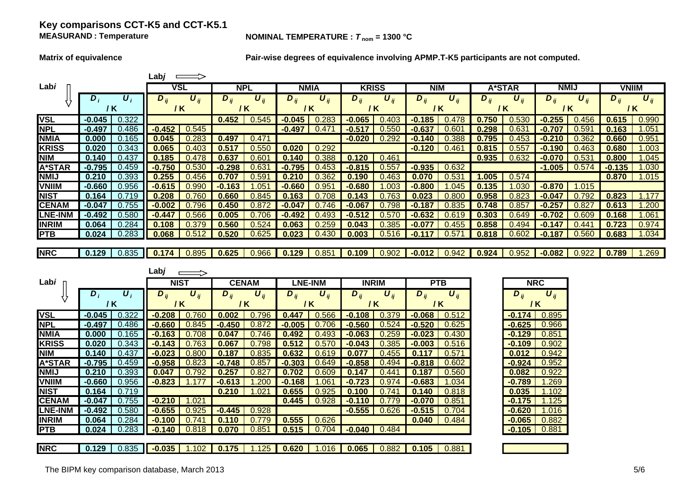## **Key comparisons CCT-K5 and CCT-K5.1 MEASURAND**

### **NOMINAL TEMPERATURE :**  $T_{nom} = 1300 °C$

**A\*STAR**

**NMIJ 0.210**

**VNIIM -0.660**

**NIST 0.164**

**CENAM -0.047**

**LNE-INM -0.492**

**INRIM 0.064**

**PTB 0.024**

**NRC 0.129**

**Matrix of equivalence Pair-wise degrees of equivalence involving APMP.T-K5 participants are not computed.**

|                | Labj       |                    |             |                       |                     |                       |          |                       |          |                       |          |            |          |                       |                       |                       |              |                       |
|----------------|------------|--------------------|-------------|-----------------------|---------------------|-----------------------|----------|-----------------------|----------|-----------------------|----------|------------|----------|-----------------------|-----------------------|-----------------------|--------------|-----------------------|
| Labi           |            |                    |             | VSL                   | <b>NPL</b>          |                       |          | <b>NMIA</b>           |          | <b>KRISS</b>          |          | <b>NIM</b> | A*STAR   |                       | <b>NMIJ</b>           |                       | <b>VNIIM</b> |                       |
|                | $\bm{D}_i$ | $\boldsymbol{U}_i$ | $D_{ii}$    | $\boldsymbol{U}_{ij}$ | $\overline{D}_{ij}$ | $\boldsymbol{U}_{ii}$ | $D_{ij}$ | $\boldsymbol{U}_{ij}$ | $D_{ii}$ | $\boldsymbol{U}_{ij}$ | $D_{ij}$ | $U_{ii}$   | $D_{ij}$ | $\boldsymbol{U}_{ii}$ | $D_{ij}$              | $\boldsymbol{U}_{ii}$ | $D_{ij}$     | $\boldsymbol{U}_{ij}$ |
|                | / K        |                    | 7 K         |                       |                     | /K                    |          | / K                   |          | / K                   | / K      |            |          | / K                   | 1 K                   |                       | / K          |                       |
| <b>VSL</b>     | $-0.045$   | 0.322              |             |                       | 0.452               | 0.545                 | $-0.045$ | 0.283                 | $-0.065$ | 0.403                 | $-0.185$ | 0.478      | 0.750    | 0.530                 | $-0.255$              | 0.456                 | 0.615        | 0.990                 |
| <b>NPL</b>     | $-0.497$   | 0.486              | $-0.452$    | 0.545                 |                     |                       | $-0.497$ | 0.471                 | $-0.517$ | 0.550                 | -0.637   | 0.601      | 0.298    | 0.631                 | $-0.707$              | 0.59                  | 0.163        | 1.051                 |
| <b>NMIA</b>    | 0.000      | 0.165              | 0.045       | 0.283                 | 0.497               | 0.471                 |          |                       | $-0.020$ | 0.292                 | $-0.140$ | 0.388      | 0.795    | 0.453                 | $-0.210$              | 0.362                 | 0.660        | 0.951                 |
| <b>KRISS</b>   | 0.020      | 0.343              | 0.065       | 0.403                 | 0.517               | 0.55C                 | 0.020    | 0.292                 |          |                       | $-0.120$ | 0.461      | 0.815    | 0.55                  | $-0.190$              | 0.463                 | 0.680        | 1.003                 |
| <b>NIM</b>     | 0.140      | 0.437              | 0.185       | 0.478                 | 0.637               | 0.601                 | 0.140    | 0.388                 | 0.120    | 0.461                 |          |            | 0.935    | 0.632                 | $-0.070$              | 0.53'                 | 0.800        | 1.045                 |
| <b>A*STAR</b>  | $-0.795$   | 0.459              | $-0.750$    | 0.530                 | $-0.298$            | 0.63'                 | $-0.795$ | 0.453                 | $-0.815$ | 0.557                 | $-0.935$ | 0.632      |          |                       | $-1.005$              | 0.574                 | $-0.135$     | 1.030                 |
| <b>NMIJ</b>    | 0.210      | 0.393              | 0.255       | 0.456                 | 0.707               | 0.59 <sup>′</sup>     | 0.210    | 0.362                 | 0.190    | 0.463                 | 0.070    | 0.531      | 1.005    | 0.574                 |                       |                       | 0.870        | 1.015                 |
| <b>VNIIM</b>   | $-0.660$   | 0.956              | $-0.615$    | 0.990                 | $-0.163$            | .051                  | $-0.660$ | 0.951                 | $-0.680$ | .003                  | $-0.800$ | .045       | 0.135    | 1.030                 | $-0.870$              | .015<br>1             |              |                       |
| <b>NIST</b>    | 0.164      | 0.719              | 0.208       | 0.760                 | 0.660               | 0.845                 | 0.163    | 0.708                 | 0.143    | 0.763                 | 0.023    | 0.800      | 0.958    | 0.823                 | $-0.047$              | 0.792                 | 0.823        | 1.177                 |
| <b>CENAM</b>   | $-0.047$   | 0.755              | $-0.002$    | 0.796                 | 0.450               | 0.872                 | $-0.047$ | 0.746                 | $-0.067$ | 0.798                 | $-0.187$ | 0.835      | 0.748    | 0.857                 | $-0.25$               | 0.82                  | 0.613        | 1.200                 |
| <b>LNE-INM</b> | $-0.492$   | 0.580              | -0.447      | 0.566                 | 0.005               | 0.706                 | $-0.492$ | 0.493                 | $-0.512$ | 0.570                 | $-0.632$ | 0.619      | 0.303    | 0.649                 | $-0.702$              | 0.609                 | 0.168        | 1.061                 |
| <b>INRIM</b>   | 0.064      | 0.284              | 0.108       | 0.379                 | 0.560               | 0.524                 | 0.063    | 0.259                 | 0.043    | 0.385                 | $-0.077$ | 0.455      | 0.858    | 0.494                 | $-0.147$              | 0.44                  | 0.723        | 0.974                 |
| <b>PTB</b>     | 0.024      | 0.283              | 0.068       | 0.512                 | 0.520               | 0.625                 | 0.023    | 0.430                 | 0.003    | 0.516                 | $-0.117$ | 0.57'      | 0.818    | 0.602                 | $-0.187$              | 0.560                 | 0.683        | 1.034                 |
|                |            |                    |             |                       |                     |                       |          |                       |          |                       |          |            |          |                       |                       |                       |              |                       |
| <b>NRC</b>     | 0.129      | 0.835              | 0.174       | 0.895                 | 0.625               | 0.966                 | 0.129    | 0.851                 | 0.109    | 0.902                 | $-0.012$ | 0.942      | 0.924    | 0.952                 | $-0.082$              | 0.922                 | 0.789        | 1.269                 |
|                |            |                    |             |                       |                     |                       |          |                       |          |                       |          |            |          |                       |                       |                       |              |                       |
|                |            |                    | $L$ abj     |                       |                     |                       |          |                       |          |                       |          |            |          |                       |                       |                       |              |                       |
| Labi           |            |                    | <b>NIST</b> |                       |                     | <b>CENAM</b>          |          | <b>LNE-INM</b>        |          | <b>INRIM</b>          |          | <b>PTB</b> |          |                       | <b>NRC</b>            |                       |              |                       |
|                | $D_i$      | $\boldsymbol{U}_i$ | $D_{ii}$    | $\boldsymbol{U}_{ii}$ | $D_{ij}$            | $U_{ii}$              | $D_{ii}$ | $\boldsymbol{U}_{ij}$ | $D_{ii}$ | $U_{ii}$              | $D_{ii}$ | $U_{ii}$   |          | $D_{ii}$              | $\boldsymbol{U}_{ii}$ |                       |              |                       |
|                | / K        |                    | / K         |                       |                     | / K                   |          | / K                   | / K      |                       |          | / K        |          |                       | / K                   |                       |              |                       |
| <b>VSL</b>     | $-0.045$   | 0.322              | $-0.208$    | 0.760                 | 0.002               | 0.796                 | 0.447    | 0.566                 | $-0.108$ | 0.379                 | $-0.068$ | 0.512      |          | $-0.174$              | 0.895                 |                       |              |                       |
| <b>NPL</b>     | $-0.497$   | 0.486              | $-0.660$    | 0.845                 | $-0.450$            | 0.872                 | $-0.005$ | 0.706                 | $-0.560$ | 0.524                 | $-0.520$ | 0.625      |          | $-0.625$              | 0.966                 |                       |              |                       |
| <b>NMIA</b>    | 0.000      | 0.165              | $-0.163$    | 0.708                 | 0.047               | 0.746                 | 0.492    | 0.493                 | $-0.063$ | 0.259                 | $-0.023$ | 0.430      |          | $-0.129$              | 0.851                 |                       |              |                       |
| <b>KRISS</b>   | 0.020      | 0.343              | $-0.143$    | 0.763                 | 0.067               | 0.798                 | 0.512    | 0.570                 | $-0.043$ | 0.385                 | $-0.003$ | 0.516      |          | $-0.109$              | 0.902                 |                       |              |                       |
| <b>NIM</b>     | 0.140      | 0.437              | $-0.023$    | 0.800                 | 0.187               | 0.835                 | 0.632    | 0.619                 | 0.077    | 0.455                 | 0.117    | 0.571      |          | 0.012                 | 0.942                 |                       |              |                       |

**-0.795** 0.459 **-0.958** 0.823 **-0.748** 0.857 **-0.303** 0.649 **-0.858** 0.494 **-0.818** 0.602 **-0.924** 0.952

0.835 **-0.035** 1.102 **0.175** 1.125 **0.620** 1.016 **0.065** 0.882 **0.105** 0.881

0.393 **0.047** 0.792 **0.257** 0.827 **0.702** 0.609 **0.147** 0.441 **0.187** 0.560 **0.082** 0.922

0.956 **-0.823** 1.177 **-0.613** 1.200 **-0.168** 1.061 **-0.723** 0.974 **-0.683** 1.034 **-0.789** 1.269

0.284 **-0.100** 0.741 **0.110** 0.779 **0.555** 0.626 **0.040** 0.484 **-0.065** 0.882

0.719 **0.210** 1.021 **0.655** 0.925 **0.100** 0.741 **0.140** 0.818 **0.035** 1.102

0.755 **-0.210** 1.021 **0.445** 0.928 **-0.110** 0.779 **-0.070** 0.851 **-0.175** 1.125

0.580 **-0.655** 0.925 **-0.445** 0.928 **-0.555** 0.626 **-0.515** 0.704 **-0.620** 1.016

0.283 **-0.140** 0.818 **0.070** 0.851 **0.515** 0.704 **-0.040** 0.484 **-0.105** 0.881

| The BIPM key comparison database, March 2013<br>the contract of the contract of the contract of the contract of the contract of the contract of the contract of | 5/6 |
|-----------------------------------------------------------------------------------------------------------------------------------------------------------------|-----|